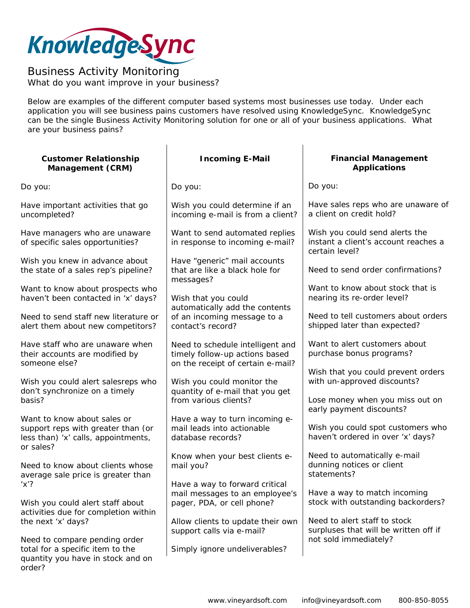

## *Business Activity Monitoring*  What do you want improve in your business?

Below are examples of the different computer based systems most businesses use today. Under each application you will see business pains customers have resolved using KnowledgeSync. KnowledgeSync can be the single Business Activity Monitoring solution for one or all of your business applications. What are your business pains?

| <b>Customer Relationship</b><br>Management (CRM)                                                                      | <b>Incoming E-Mail</b>                                                                                  | <b>Financial Management</b><br><b>Applications</b>                                                   |
|-----------------------------------------------------------------------------------------------------------------------|---------------------------------------------------------------------------------------------------------|------------------------------------------------------------------------------------------------------|
| Do you:                                                                                                               | Do you:                                                                                                 | Do you:                                                                                              |
| Have important activities that go<br>uncompleted?                                                                     | Wish you could determine if an<br>incoming e-mail is from a client?                                     | Have sales reps who are unaware of<br>a client on credit hold?                                       |
| Have managers who are unaware<br>of specific sales opportunities?                                                     | Want to send automated replies<br>in response to incoming e-mail?                                       | Wish you could send alerts the<br>instant a client's account reaches a<br>certain level?             |
| Wish you knew in advance about<br>the state of a sales rep's pipeline?                                                | Have "generic" mail accounts<br>that are like a black hole for<br>messages?                             | Need to send order confirmations?                                                                    |
| Want to know about prospects who<br>haven't been contacted in 'x' days?                                               | Wish that you could                                                                                     | Want to know about stock that is<br>nearing its re-order level?                                      |
| Need to send staff new literature or<br>alert them about new competitors?                                             | automatically add the contents<br>of an incoming message to a<br>contact's record?                      | Need to tell customers about orders<br>shipped later than expected?                                  |
| Have staff who are unaware when<br>their accounts are modified by<br>someone else?                                    | Need to schedule intelligent and<br>timely follow-up actions based<br>on the receipt of certain e-mail? | Want to alert customers about<br>purchase bonus programs?                                            |
| Wish you could alert salesreps who<br>don't synchronize on a timely<br>basis?                                         | Wish you could monitor the<br>quantity of e-mail that you get<br>from various clients?                  | Wish that you could prevent orders<br>with un-approved discounts?<br>Lose money when you miss out on |
| Want to know about sales or<br>support reps with greater than (or<br>less than) 'x' calls, appointments,<br>or sales? | Have a way to turn incoming e-<br>mail leads into actionable<br>database records?                       | early payment discounts?<br>Wish you could spot customers who<br>haven't ordered in over 'x' days?   |
| Need to know about clients whose<br>average sale price is greater than                                                | Know when your best clients e-<br>mail you?                                                             | Need to automatically e-mail<br>dunning notices or client<br>statements?                             |
| $'x'$ ?<br>Wish you could alert staff about<br>activities due for completion within                                   | Have a way to forward critical<br>mail messages to an employee's<br>pager, PDA, or cell phone?          | Have a way to match incoming<br>stock with outstanding backorders?                                   |
| the next 'x' days?                                                                                                    | Allow clients to update their own<br>support calls via e-mail?                                          | Need to alert staff to stock<br>surpluses that will be written off if                                |
| Need to compare pending order<br>total for a specific item to the<br>quantity you have in stock and on<br>order?      | Simply ignore undeliverables?                                                                           | not sold immediately?                                                                                |